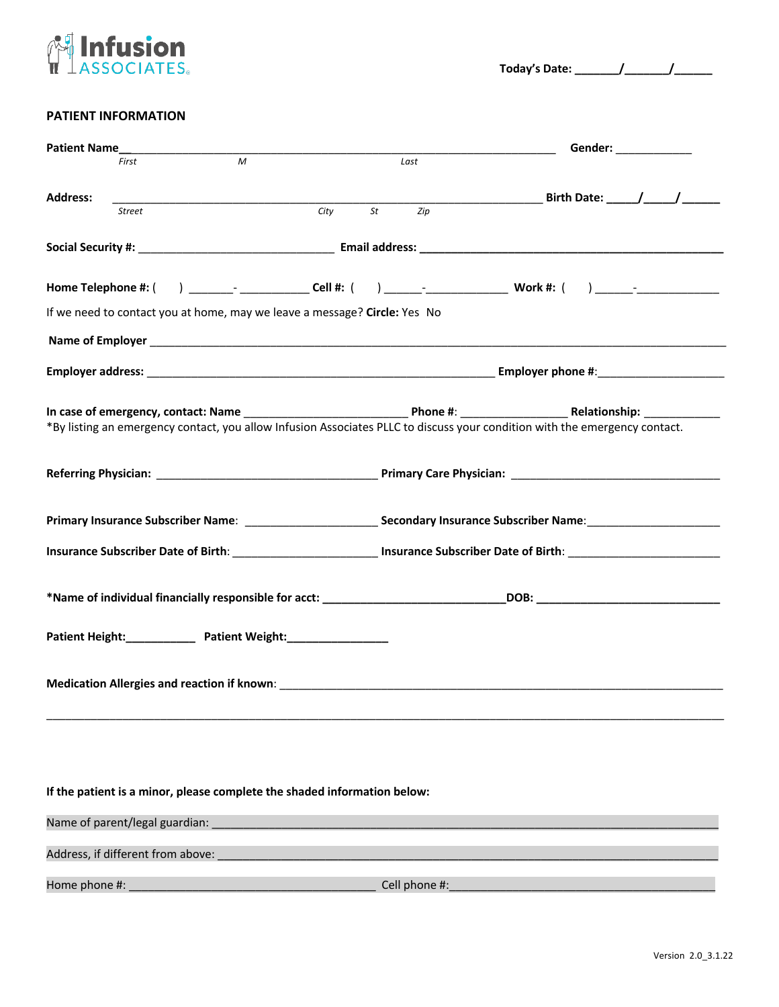

## **PATIENT INFORMATION**

|                                                                          |                                   |                                                                           |  |               | Gender: ______________                                                                                                     |  |
|--------------------------------------------------------------------------|-----------------------------------|---------------------------------------------------------------------------|--|---------------|----------------------------------------------------------------------------------------------------------------------------|--|
|                                                                          | First                             | M                                                                         |  | Last          |                                                                                                                            |  |
| <b>Address:</b>                                                          |                                   |                                                                           |  |               |                                                                                                                            |  |
|                                                                          | <b>Street</b>                     |                                                                           |  |               |                                                                                                                            |  |
|                                                                          |                                   |                                                                           |  |               |                                                                                                                            |  |
|                                                                          |                                   |                                                                           |  |               |                                                                                                                            |  |
|                                                                          |                                   | If we need to contact you at home, may we leave a message? Circle: Yes No |  |               |                                                                                                                            |  |
|                                                                          |                                   |                                                                           |  |               |                                                                                                                            |  |
|                                                                          |                                   |                                                                           |  |               |                                                                                                                            |  |
|                                                                          |                                   |                                                                           |  |               | *By listing an emergency contact, you allow Infusion Associates PLLC to discuss your condition with the emergency contact. |  |
|                                                                          |                                   |                                                                           |  |               |                                                                                                                            |  |
|                                                                          |                                   |                                                                           |  |               |                                                                                                                            |  |
|                                                                          |                                   |                                                                           |  |               |                                                                                                                            |  |
|                                                                          |                                   |                                                                           |  |               |                                                                                                                            |  |
|                                                                          |                                   |                                                                           |  |               |                                                                                                                            |  |
|                                                                          |                                   |                                                                           |  |               |                                                                                                                            |  |
|                                                                          |                                   |                                                                           |  |               |                                                                                                                            |  |
| If the patient is a minor, please complete the shaded information below: |                                   |                                                                           |  |               |                                                                                                                            |  |
|                                                                          | Name of parent/legal guardian:    |                                                                           |  |               |                                                                                                                            |  |
|                                                                          | Address, if different from above: |                                                                           |  |               |                                                                                                                            |  |
| Home phone #:                                                            |                                   |                                                                           |  | Cell phone #: |                                                                                                                            |  |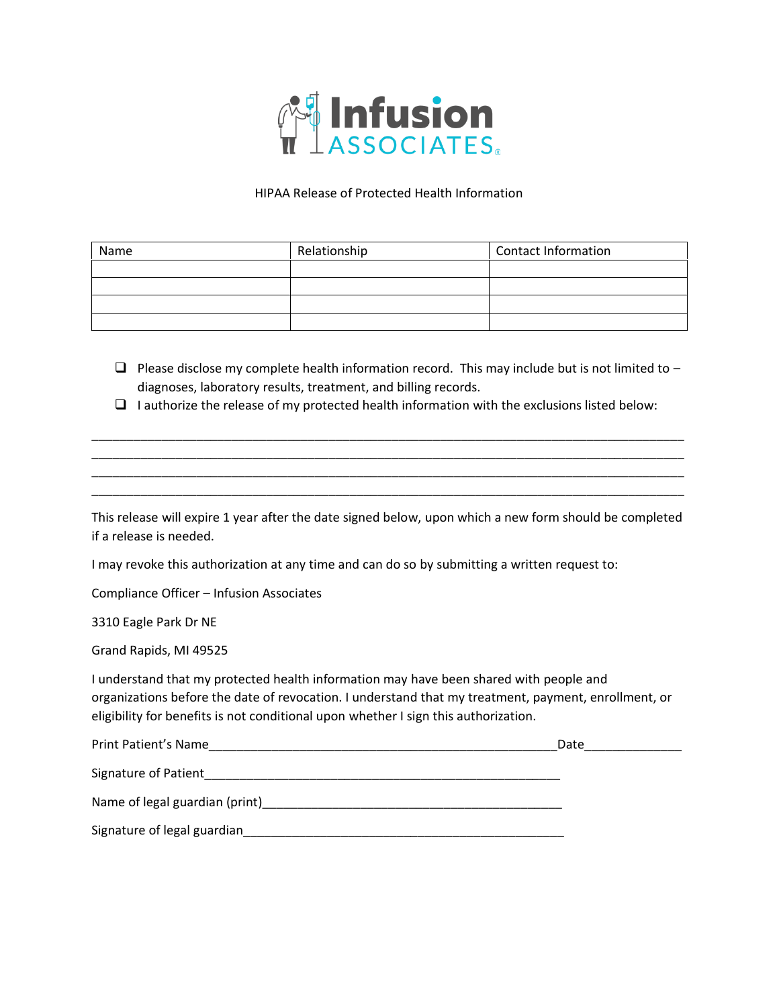

## HIPAA Release of Protected Health Information

| Name | Relationship | <b>Contact Information</b> |
|------|--------------|----------------------------|
|      |              |                            |
|      |              |                            |
|      |              |                            |
|      |              |                            |

- $\Box$  Please disclose my complete health information record. This may include but is not limited to diagnoses, laboratory results, treatment, and billing records.
- ❑ I authorize the release of my protected health information with the exclusions listed below:

\_\_\_\_\_\_\_\_\_\_\_\_\_\_\_\_\_\_\_\_\_\_\_\_\_\_\_\_\_\_\_\_\_\_\_\_\_\_\_\_\_\_\_\_\_\_\_\_\_\_\_\_\_\_\_\_\_\_\_\_\_\_\_\_\_\_\_\_\_\_\_\_\_\_\_\_\_\_\_\_\_\_\_\_\_ \_\_\_\_\_\_\_\_\_\_\_\_\_\_\_\_\_\_\_\_\_\_\_\_\_\_\_\_\_\_\_\_\_\_\_\_\_\_\_\_\_\_\_\_\_\_\_\_\_\_\_\_\_\_\_\_\_\_\_\_\_\_\_\_\_\_\_\_\_\_\_\_\_\_\_\_\_\_\_\_\_\_\_\_\_ \_\_\_\_\_\_\_\_\_\_\_\_\_\_\_\_\_\_\_\_\_\_\_\_\_\_\_\_\_\_\_\_\_\_\_\_\_\_\_\_\_\_\_\_\_\_\_\_\_\_\_\_\_\_\_\_\_\_\_\_\_\_\_\_\_\_\_\_\_\_\_\_\_\_\_\_\_\_\_\_\_\_\_\_\_ \_\_\_\_\_\_\_\_\_\_\_\_\_\_\_\_\_\_\_\_\_\_\_\_\_\_\_\_\_\_\_\_\_\_\_\_\_\_\_\_\_\_\_\_\_\_\_\_\_\_\_\_\_\_\_\_\_\_\_\_\_\_\_\_\_\_\_\_\_\_\_\_\_\_\_\_\_\_\_\_\_\_\_\_\_

| This release will expire 1 year after the date signed below, upon which a new form should be completed |  |
|--------------------------------------------------------------------------------------------------------|--|
| if a release is needed.                                                                                |  |

I may revoke this authorization at any time and can do so by submitting a written request to:

Compliance Officer – Infusion Associates

3310 Eagle Park Dr NE

Grand Rapids, MI 49525

I understand that my protected health information may have been shared with people and organizations before the date of revocation. I understand that my treatment, payment, enrollment, or eligibility for benefits is not conditional upon whether I sign this authorization.

| Print Patient's Name           | Date |
|--------------------------------|------|
| Signature of Patient           |      |
| Name of legal guardian (print) |      |
| Signature of legal guardian    |      |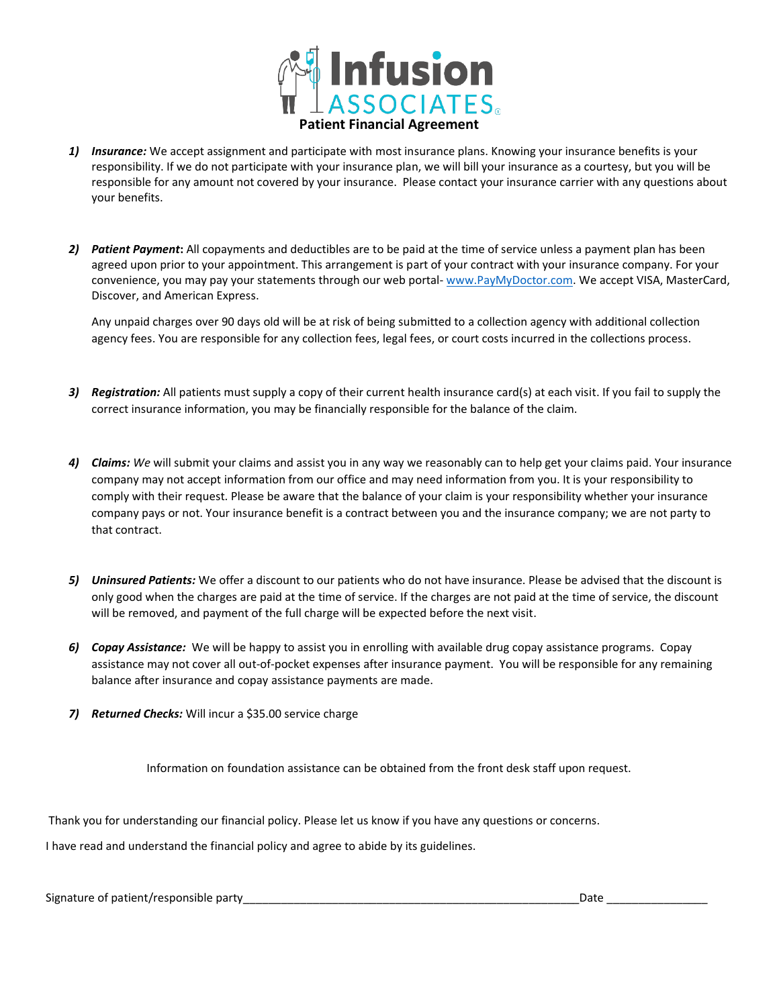

- *1) Insurance:* We accept assignment and participate with most insurance plans. Knowing your insurance benefits is your responsibility. If we do not participate with your insurance plan, we will bill your insurance as a courtesy, but you will be responsible for any amount not covered by your insurance. Please contact your insurance carrier with any questions about your benefits.
- *2) Patient Payment***:** All copayments and deductibles are to be paid at the time of service unless a payment plan has been agreed upon prior to your appointment. This arrangement is part of your contract with your insurance company. For your convenience, you may pay your statements through our web portal- [www.PayMyDoctor.com.](http://www.paymydoctor.com/) We accept VISA, MasterCard, Discover, and American Express.

Any unpaid charges over 90 days old will be at risk of being submitted to a collection agency with additional collection agency fees. You are responsible for any collection fees, legal fees, or court costs incurred in the collections process.

- *3) Registration:* All patients must supply a copy of their current health insurance card(s) at each visit. If you fail to supply the correct insurance information, you may be financially responsible for the balance of the claim.
- *4) Claims: We* will submit your claims and assist you in any way we reasonably can to help get your claims paid. Your insurance company may not accept information from our office and may need information from you. It is your responsibility to comply with their request. Please be aware that the balance of your claim is your responsibility whether your insurance company pays or not. Your insurance benefit is a contract between you and the insurance company; we are not party to that contract.
- *5) Uninsured Patients:* We offer a discount to our patients who do not have insurance. Please be advised that the discount is only good when the charges are paid at the time of service. If the charges are not paid at the time of service, the discount will be removed, and payment of the full charge will be expected before the next visit.
- *6) Copay Assistance:* We will be happy to assist you in enrolling with available drug copay assistance programs. Copay assistance may not cover all out-of-pocket expenses after insurance payment. You will be responsible for any remaining balance after insurance and copay assistance payments are made.
- *7) Returned Checks:* Will incur a \$35.00 service charge

Information on foundation assistance can be obtained from the front desk staff upon request.

Thank you for understanding our financial policy. Please let us know if you have any questions or concerns.

I have read and understand the financial policy and agree to abide by its guidelines.

Signature of patient/responsible party\_\_\_\_\_\_\_\_\_\_\_\_\_\_\_\_\_\_\_\_\_\_\_\_\_\_\_\_\_\_\_\_\_\_\_\_\_\_\_\_\_\_\_\_\_\_\_\_\_\_\_\_\_Date \_\_\_\_\_\_\_\_\_\_\_\_\_\_\_\_